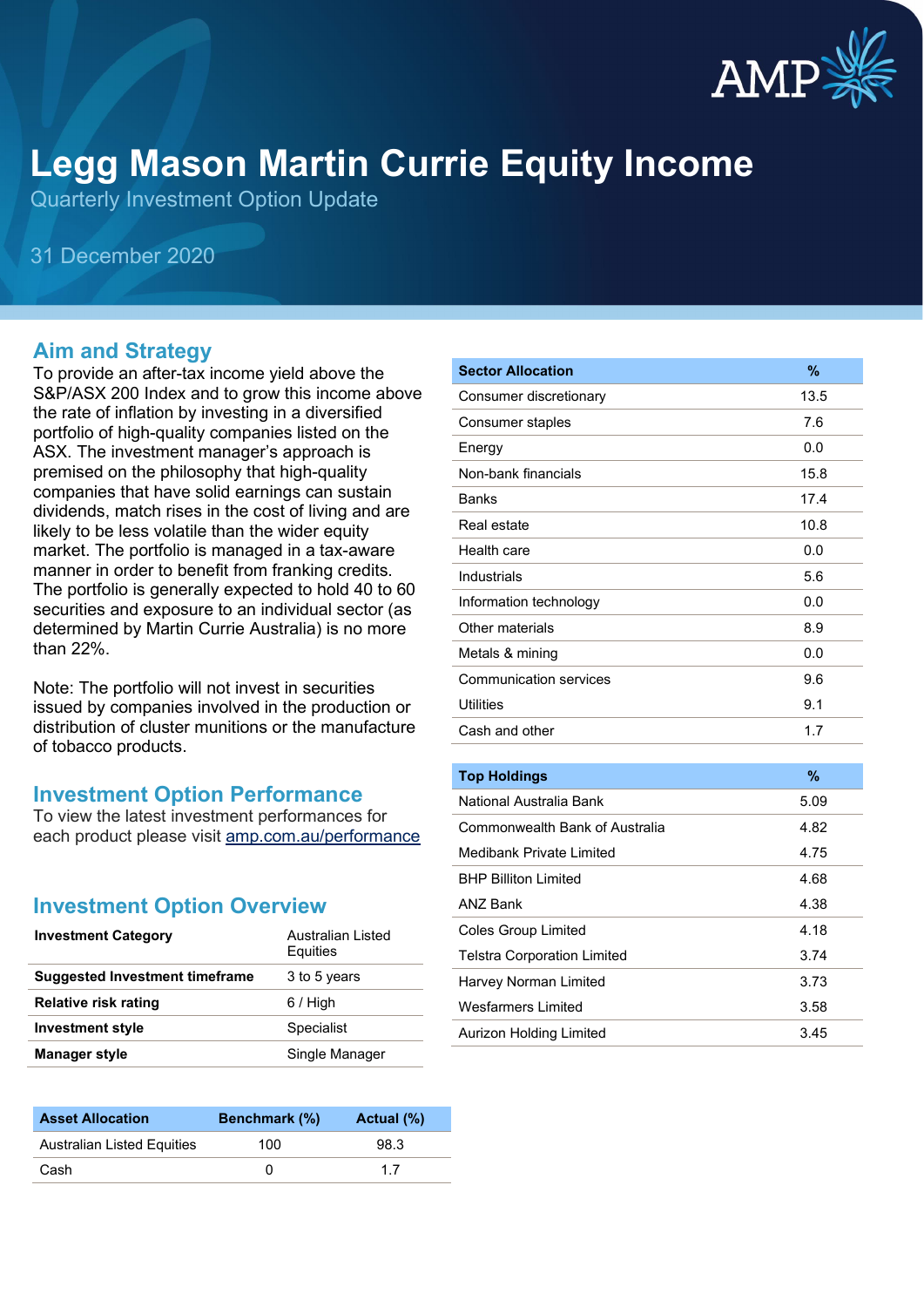

# **Legg Mason Martin Currie Equity Income**

Quarterly Investment Option Update

31 December 2020

#### **Aim and Strategy**

To provide an after-tax income yield above the S&P/ASX 200 Index and to grow this income above the rate of inflation by investing in a diversified portfolio of high-quality companies listed on the ASX. The investment manager's approach is premised on the philosophy that high-quality companies that have solid earnings can sustain dividends, match rises in the cost of living and are likely to be less volatile than the wider equity market. The portfolio is managed in a tax-aware manner in order to benefit from franking credits. The portfolio is generally expected to hold 40 to 60 securities and exposure to an individual sector (as determined by Martin Currie Australia) is no more than 22%.

Note: The portfolio will not invest in securities issued by companies involved in the production or distribution of cluster munitions or the manufacture of tobacco products.

#### **Investment Option Performance**

To view the latest investment performances for each product please visit [amp.com.au/performance](https://www.amp.com.au/performance)

#### **Investment Option Overview**

| <b>Investment Category</b>     | Australian Listed<br>Equities |
|--------------------------------|-------------------------------|
| Suggested Investment timeframe | 3 to 5 years                  |
| <b>Relative risk rating</b>    | $6/$ High                     |
| <b>Investment style</b>        | Specialist                    |
| <b>Manager style</b>           | Single Manager                |

| <b>Asset Allocation</b>    | Benchmark (%) | Actual (%) |
|----------------------------|---------------|------------|
| Australian Listed Equities | 100           | 98.3       |
| Cash                       |               | 17         |

| <b>Sector Allocation</b>           | %    |
|------------------------------------|------|
| Consumer discretionary             | 13.5 |
| Consumer staples                   | 7.6  |
| Energy                             | 0.0  |
| Non-bank financials                | 15.8 |
| <b>Banks</b>                       | 17.4 |
| Real estate                        | 10.8 |
| Health care                        | 0.0  |
| Industrials                        | 5.6  |
| Information technology             | 0.0  |
| Other materials                    | 8.9  |
| Metals & mining                    | 0.0  |
| <b>Communication services</b>      | 9.6  |
| <b>Utilities</b>                   | 9.1  |
| Cash and other                     | 1.7  |
|                                    |      |
| <b>Top Holdings</b>                | %    |
| National Australia Bank            | 5.09 |
| Commonwealth Bank of Australia     | 4.82 |
| <b>Medibank Private Limited</b>    | 4.75 |
| <b>BHP Billiton Limited</b>        | 4.68 |
| <b>ANZ Bank</b>                    | 4.38 |
| <b>Coles Group Limited</b>         | 4.18 |
| <b>Telstra Corporation Limited</b> | 3.74 |
| Harvey Norman Limited              | 3.73 |
| <b>Wesfarmers Limited</b>          | 3.58 |
| <b>Aurizon Holding Limited</b>     | 3.45 |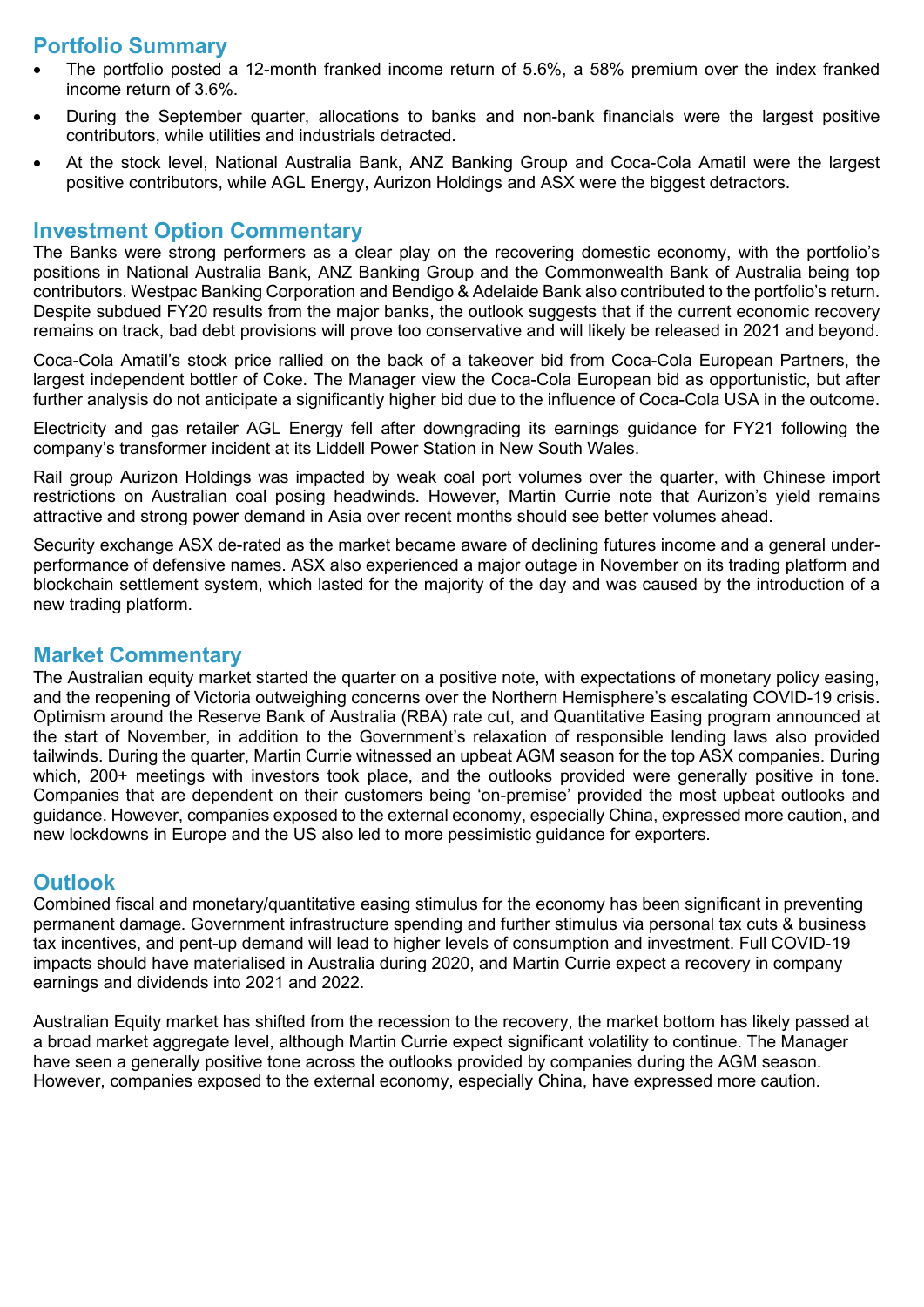## **Portfolio Summary**

- The portfolio posted a 12-month franked income return of 5.6%, a 58% premium over the index franked income return of 3.6%.
- During the September quarter, allocations to banks and non-bank financials were the largest positive contributors, while utilities and industrials detracted.
- At the stock level, National Australia Bank, ANZ Banking Group and Coca-Cola Amatil were the largest positive contributors, while AGL Energy, Aurizon Holdings and ASX were the biggest detractors.

#### **Investment Option Commentary**

The Banks were strong performers as a clear play on the recovering domestic economy, with the portfolio's positions in National Australia Bank, ANZ Banking Group and the Commonwealth Bank of Australia being top contributors. Westpac Banking Corporation and Bendigo & Adelaide Bank also contributed to the portfolio's return. Despite subdued FY20 results from the major banks, the outlook suggests that if the current economic recovery remains on track, bad debt provisions will prove too conservative and will likely be released in 2021 and beyond.

Coca-Cola Amatil's stock price rallied on the back of a takeover bid from Coca-Cola European Partners, the largest independent bottler of Coke. The Manager view the Coca-Cola European bid as opportunistic, but after further analysis do not anticipate a significantly higher bid due to the influence of Coca-Cola USA in the outcome.

Electricity and gas retailer AGL Energy fell after downgrading its earnings guidance for FY21 following the company's transformer incident at its Liddell Power Station in New South Wales.

Rail group Aurizon Holdings was impacted by weak coal port volumes over the quarter, with Chinese import restrictions on Australian coal posing headwinds. However, Martin Currie note that Aurizon's yield remains attractive and strong power demand in Asia over recent months should see better volumes ahead.

Security exchange ASX de-rated as the market became aware of declining futures income and a general underperformance of defensive names. ASX also experienced a major outage in November on its trading platform and blockchain settlement system, which lasted for the majority of the day and was caused by the introduction of a new trading platform.

#### **Market Commentary**

The Australian equity market started the quarter on a positive note, with expectations of monetary policy easing, and the reopening of Victoria outweighing concerns over the Northern Hemisphere's escalating COVID-19 crisis. Optimism around the Reserve Bank of Australia (RBA) rate cut, and Quantitative Easing program announced at the start of November, in addition to the Government's relaxation of responsible lending laws also provided tailwinds. During the quarter, Martin Currie witnessed an upbeat AGM season for the top ASX companies. During which, 200+ meetings with investors took place, and the outlooks provided were generally positive in tone. Companies that are dependent on their customers being 'on-premise' provided the most upbeat outlooks and guidance. However, companies exposed to the external economy, especially China, expressed more caution, and new lockdowns in Europe and the US also led to more pessimistic guidance for exporters.

#### **Outlook**

Combined fiscal and monetary/quantitative easing stimulus for the economy has been significant in preventing permanent damage. Government infrastructure spending and further stimulus via personal tax cuts & business tax incentives, and pent-up demand will lead to higher levels of consumption and investment. Full COVID-19 impacts should have materialised in Australia during 2020, and Martin Currie expect a recovery in company earnings and dividends into 2021 and 2022.

Australian Equity market has shifted from the recession to the recovery, the market bottom has likely passed at a broad market aggregate level, although Martin Currie expect significant volatility to continue. The Manager have seen a generally positive tone across the outlooks provided by companies during the AGM season. However, companies exposed to the external economy, especially China, have expressed more caution.